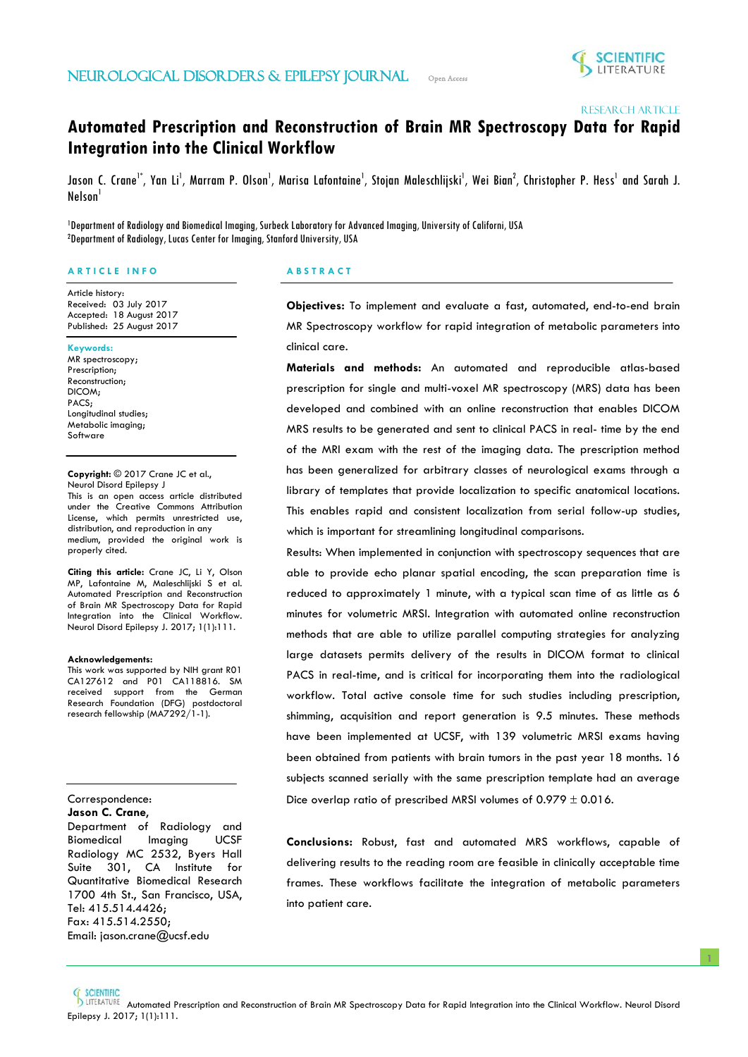

Research article

# **Automated Prescription and Reconstruction of Brain MR Spectroscopy Data for Rapid Integration into the Clinical Workflow**

Jason C. Crane<sup>1\*</sup>, Yan Li<sup>1</sup>, Marram P. Olson<sup>1</sup>, Marisa Lafontaine<sup>1</sup>, Stojan Maleschlijski<sup>1</sup>, Wei Bian<sup>2</sup>, Christopher P. Hess<sup>1</sup> and Sarah J. Nelson<sup>1</sup>

1 Department of Radiology and Biomedical Imaging, Surbeck Laboratory for Advanced Imaging, University of Californi, USA 2 Department of Radiology, Lucas Center for Imaging, Stanford University, USA

İ

## **A R T I C L E I N F O**

Article history: Received: 03 July 2017 Accepted: 18 August 2017 Published: 25 August 2017

#### **Keywords:**

MR spectroscopy; Prescription; Reconstruction; DICOM; PACS; Longitudinal studies; Metabolic imaging; Software

**Copyright:** © 2017 Crane JC et al., Neurol Disord Epilepsy J This is an open access article distributed under the Creative Commons Attribution License, which permits unrestricted use, distribution, and reproduction in any medium, provided the original work is properly cited.

**Citing this article:** Crane JC, Li Y, Olson MP, Lafontaine M, Maleschlijski S et al. Automated Prescription and Reconstruction of Brain MR Spectroscopy Data for Rapid Integration into the Clinical Workflow. Neurol Disord Epilepsy J. 2017; 1(1):111.

#### **Acknowledgements:**

This work was supported by NIH grant R01 CA127612 and P01 CA118816. SM received support from the German Research Foundation (DFG) postdoctoral research fellowship (MA7292/1-1).

## Correspondence: **Jason C. Crane**,

֞֡֡֡֡

Department of Radiology and Biomedical Imaging UCSF Radiology MC 2532, Byers Hall Suite 301, CA Institute for Quantitative Biomedical Research 1700 4th St., San Francisco, USA, Tel: 415.514.4426; Fax: 415.514.2550; Email: jason.crane@ucsf.edu

## **A B S T R A C T**

**Objectives:** To implement and evaluate a fast, automated, end-to-end brain MR Spectroscopy workflow for rapid integration of metabolic parameters into clinical care.

**Materials and methods:** An automated and reproducible atlas-based prescription for single and multi-voxel MR spectroscopy (MRS) data has been developed and combined with an online reconstruction that enables DICOM MRS results to be generated and sent to clinical PACS in real- time by the end of the MRI exam with the rest of the imaging data. The prescription method has been generalized for arbitrary classes of neurological exams through a library of templates that provide localization to specific anatomical locations. This enables rapid and consistent localization from serial follow-up studies, which is important for streamlining longitudinal comparisons.

Results: When implemented in conjunction with spectroscopy sequences that are able to provide echo planar spatial encoding, the scan preparation time is reduced to approximately 1 minute, with a typical scan time of as little as 6 minutes for volumetric MRSI. Integration with automated online reconstruction methods that are able to utilize parallel computing strategies for analyzing large datasets permits delivery of the results in DICOM format to clinical PACS in real-time, and is critical for incorporating them into the radiological workflow. Total active console time for such studies including prescription, shimming, acquisition and report generation is 9.5 minutes. These methods have been implemented at UCSF, with 139 volumetric MRSI exams having been obtained from patients with brain tumors in the past year 18 months. 16 subjects scanned serially with the same prescription template had an average Dice overlap ratio of prescribed MRSI volumes of  $0.979 \pm 0.016$ .

**Conclusions:** Robust, fast and automated MRS workflows, capable of delivering results to the reading room are feasible in clinically acceptable time frames. These workflows facilitate the integration of metabolic parameters into patient care.

**1**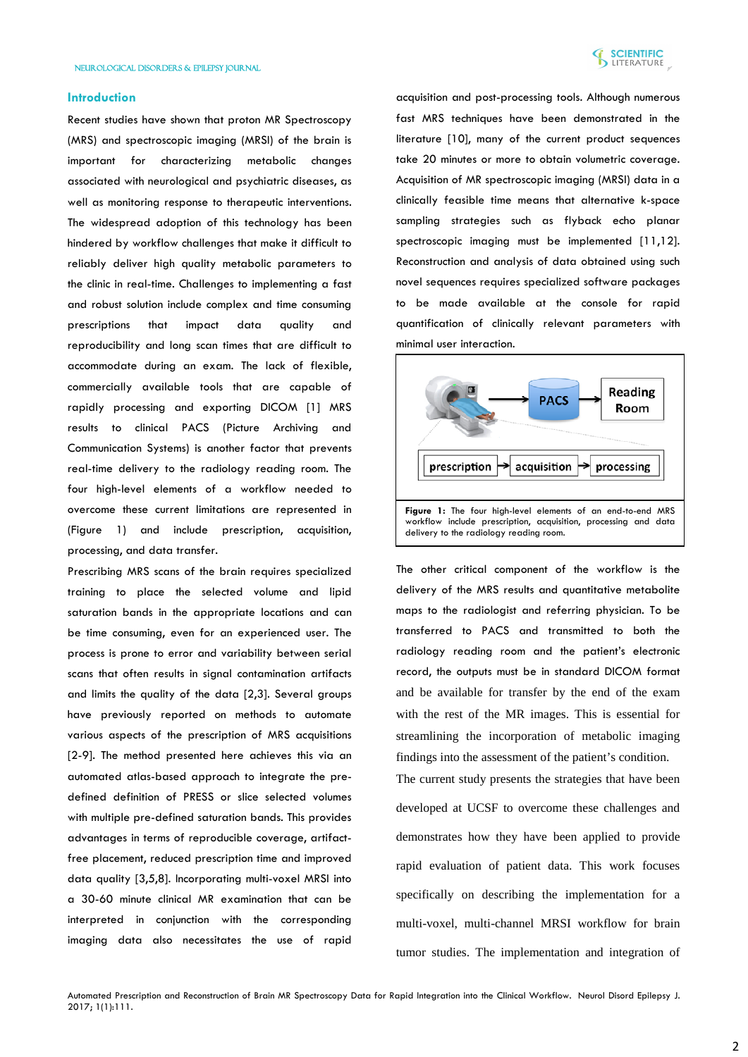

## **Introduction**

Recent studies have shown that proton MR Spectroscopy (MRS) and spectroscopic imaging (MRSI) of the brain is important for characterizing metabolic changes associated with neurological and psychiatric diseases, as well as monitoring response to therapeutic interventions. The widespread adoption of this technology has been hindered by workflow challenges that make it difficult to reliably deliver high quality metabolic parameters to the clinic in real-time. Challenges to implementing a fast and robust solution include complex and time consuming prescriptions that impact data quality and reproducibility and long scan times that are difficult to accommodate during an exam. The lack of flexible, commercially available tools that are capable of rapidly processing and exporting DICOM [1] MRS results to clinical PACS (Picture Archiving and Communication Systems) is another factor that prevents real-time delivery to the radiology reading room. The four high-level elements of a workflow needed to overcome these current limitations are represented in (Figure 1) and include prescription, acquisition, processing, and data transfer.

Prescribing MRS scans of the brain requires specialized training to place the selected volume and lipid saturation bands in the appropriate locations and can be time consuming, even for an experienced user. The process is prone to error and variability between serial scans that often results in signal contamination artifacts and limits the quality of the data [2,3]. Several groups have previously reported on methods to automate various aspects of the prescription of MRS acquisitions [2-9]. The method presented here achieves this via an automated atlas-based approach to integrate the predefined definition of PRESS or slice selected volumes with multiple pre-defined saturation bands. This provides advantages in terms of reproducible coverage, artifactfree placement, reduced prescription time and improved data quality [3,5,8]. Incorporating multi-voxel MRSI into a 30-60 minute clinical MR examination that can be interpreted in conjunction with the corresponding imaging data also necessitates the use of rapid

acquisition and post-processing tools. Although numerous fast MRS techniques have been demonstrated in the literature [10], many of the current product sequences take 20 minutes or more to obtain volumetric coverage. Acquisition of MR spectroscopic imaging (MRSI) data in a clinically feasible time means that alternative k-space sampling strategies such as flyback echo planar spectroscopic imaging must be implemented [11,12]. Reconstruction and analysis of data obtained using such novel sequences requires specialized software packages to be made available at the console for rapid quantification of clinically relevant parameters with minimal user interaction.



The other critical component of the workflow is the delivery of the MRS results and quantitative metabolite maps to the radiologist and referring physician. To be transferred to PACS and transmitted to both the radiology reading room and the patient's electronic record, the outputs must be in standard DICOM format and be available for transfer by the end of the exam with the rest of the MR images. This is essential for streamlining the incorporation of metabolic imaging findings into the assessment of the patient's condition.

The current study presents the strategies that have been developed at UCSF to overcome these challenges and demonstrates how they have been applied to provide rapid evaluation of patient data. This work focuses specifically on describing the implementation for a multi-voxel, multi-channel MRSI workflow for brain tumor studies. The implementation and integration of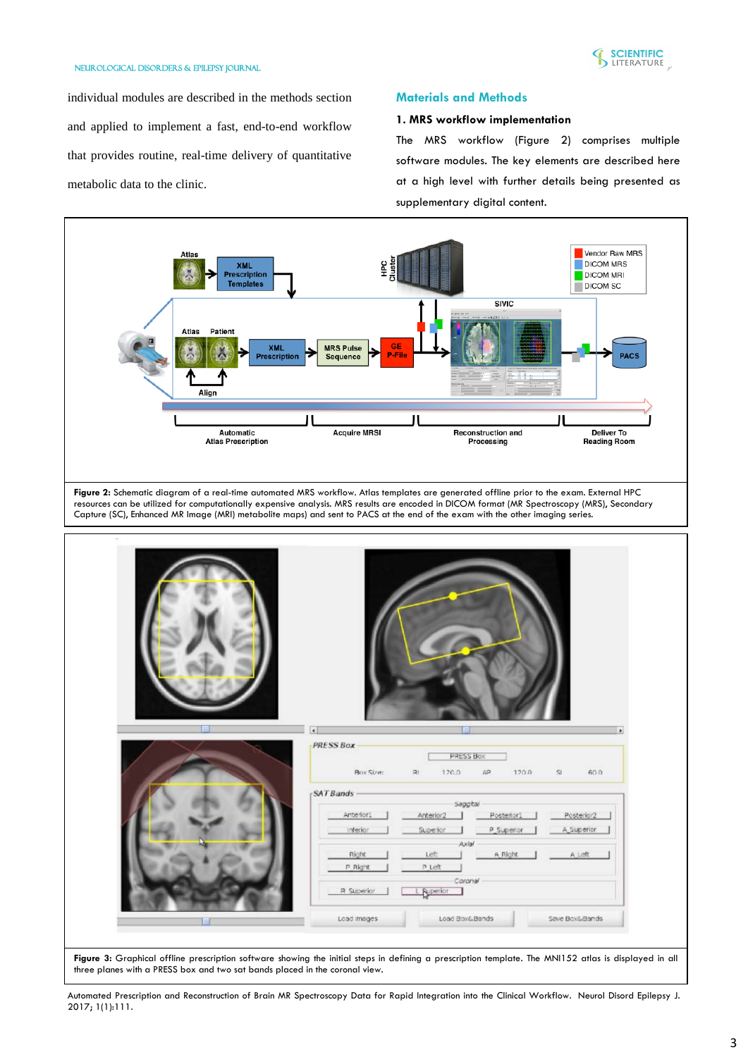

individual modules are described in the methods section and applied to implement a fast, end-to-end workflow that provides routine, real-time delivery of quantitative metabolic data to the clinic.

# **Materials and Methods**

# **1. MRS workflow implementation**

The MRS workflow (Figure 2) comprises multiple software modules. The key elements are described here at a high level with further details being presented as supplementary digital content.

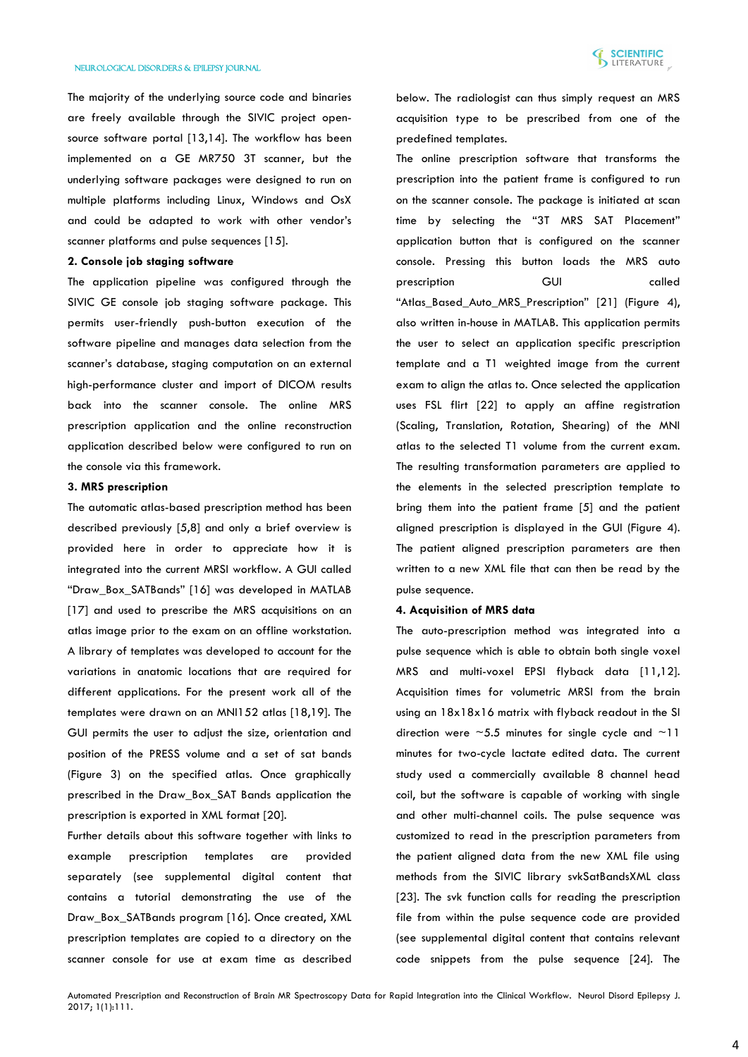The majority of the underlying source code and binaries are freely available through the SIVIC project opensource software portal [13,14]. The workflow has been implemented on a GE MR750 3T scanner, but the underlying software packages were designed to run on multiple platforms including Linux, Windows and OsX and could be adapted to work with other vendor's scanner platforms and pulse sequences [15].

# **2. Console job staging software**

The application pipeline was configured through the SIVIC GE console job staging software package. This permits user-friendly push-button execution of the software pipeline and manages data selection from the scanner's database, staging computation on an external high-performance cluster and import of DICOM results back into the scanner console. The online MRS prescription application and the online reconstruction application described below were configured to run on the console via this framework.

# **3. MRS prescription**

The automatic atlas-based prescription method has been described previously [5,8] and only a brief overview is provided here in order to appreciate how it is integrated into the current MRSI workflow. A GUI called "Draw\_Box\_SATBands" [16] was developed in MATLAB [17] and used to prescribe the MRS acquisitions on an atlas image prior to the exam on an offline workstation. A library of templates was developed to account for the variations in anatomic locations that are required for different applications. For the present work all of the templates were drawn on an MNI152 atlas [18,19]. The GUI permits the user to adjust the size, orientation and position of the PRESS volume and a set of sat bands (Figure 3) on the specified atlas. Once graphically prescribed in the Draw\_Box\_SAT Bands application the prescription is exported in XML format [20].

Further details about this software together with links to example prescription templates are provided separately (see supplemental digital content that contains a tutorial demonstrating the use of the Draw\_Box\_SATBands program [16]. Once created, XML prescription templates are copied to a directory on the scanner console for use at exam time as described below. The radiologist can thus simply request an MRS acquisition type to be prescribed from one of the predefined templates.

The online prescription software that transforms the prescription into the patient frame is configured to run on the scanner console. The package is initiated at scan time by selecting the "3T MRS SAT Placement" application button that is configured on the scanner console. Pressing this button loads the MRS auto prescription GUI called "Atlas Based Auto MRS Prescription" [21] (Figure 4), also written in-house in MATLAB. This application permits the user to select an application specific prescription template and a T1 weighted image from the current exam to align the atlas to. Once selected the application uses FSL flirt [22] to apply an affine registration (Scaling, Translation, Rotation, Shearing) of the MNI atlas to the selected T1 volume from the current exam. The resulting transformation parameters are applied to the elements in the selected prescription template to bring them into the patient frame [5] and the patient aligned prescription is displayed in the GUI (Figure 4). The patient aligned prescription parameters are then written to a new XML file that can then be read by the pulse sequence.

#### **4. Acquisition of MRS data**

The auto-prescription method was integrated into a pulse sequence which is able to obtain both single voxel MRS and multi-voxel EPSI flyback data [11,12]. Acquisition times for volumetric MRSI from the brain using an 18x18x16 matrix with flyback readout in the SI direction were  $~5.5$  minutes for single cycle and  $~11$ minutes for two-cycle lactate edited data. The current study used a commercially available 8 channel head coil, but the software is capable of working with single and other multi-channel coils. The pulse sequence was customized to read in the prescription parameters from the patient aligned data from the new XML file using methods from the SIVIC library svkSatBandsXML class [23]. The svk function calls for reading the prescription file from within the pulse sequence code are provided (see supplemental digital content that contains relevant code snippets from the pulse sequence [24]. The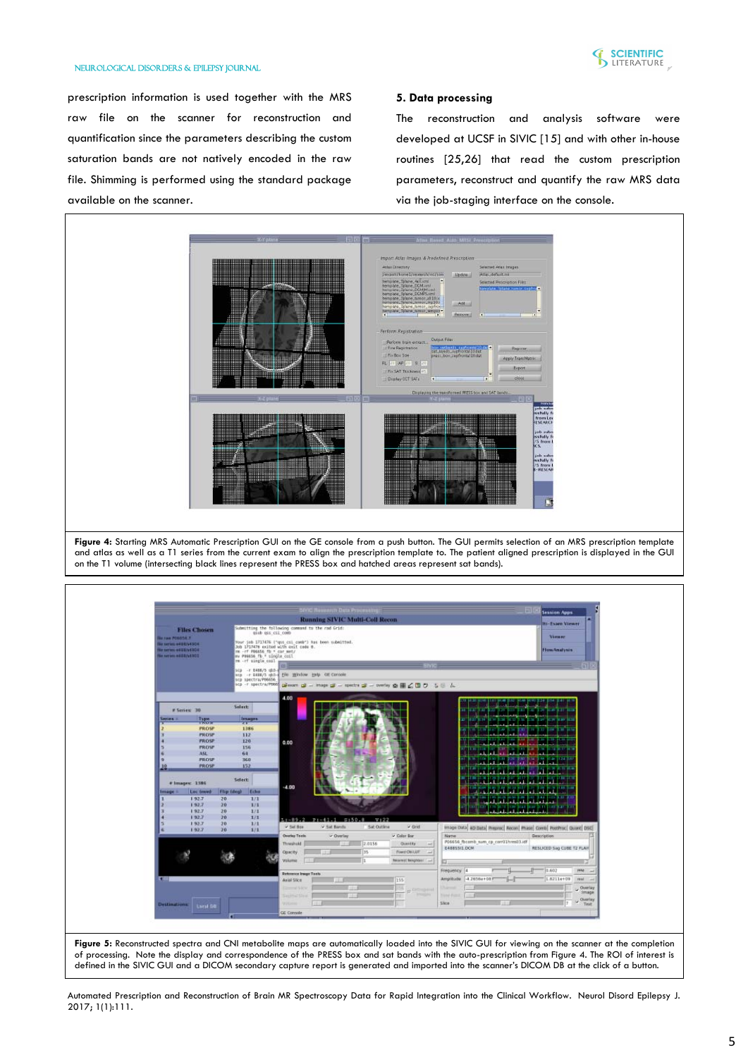

prescription information is used together with the MRS raw file on the scanner for reconstruction and quantification since the parameters describing the custom saturation bands are not natively encoded in the raw file. Shimming is performed using the standard package available on the scanner.

# **5. Data processing**

The reconstruction and analysis software were developed at UCSF in SIVIC [15] and with other in-house routines [25,26] that read the custom prescription parameters, reconstruct and quantify the raw MRS data via the job-staging interface on the console.



Figure 4: Starting MRS Automatic Prescription GUI on the GE console from a push button. The GUI permits selection of an MRS prescription template and atlas as well as a T1 series from the current exam to align the prescription template to. The patient aligned prescription is displayed in the GUI on the T1 volume (intersecting black lines represent the PRESS box and hatched areas represent sat bands).

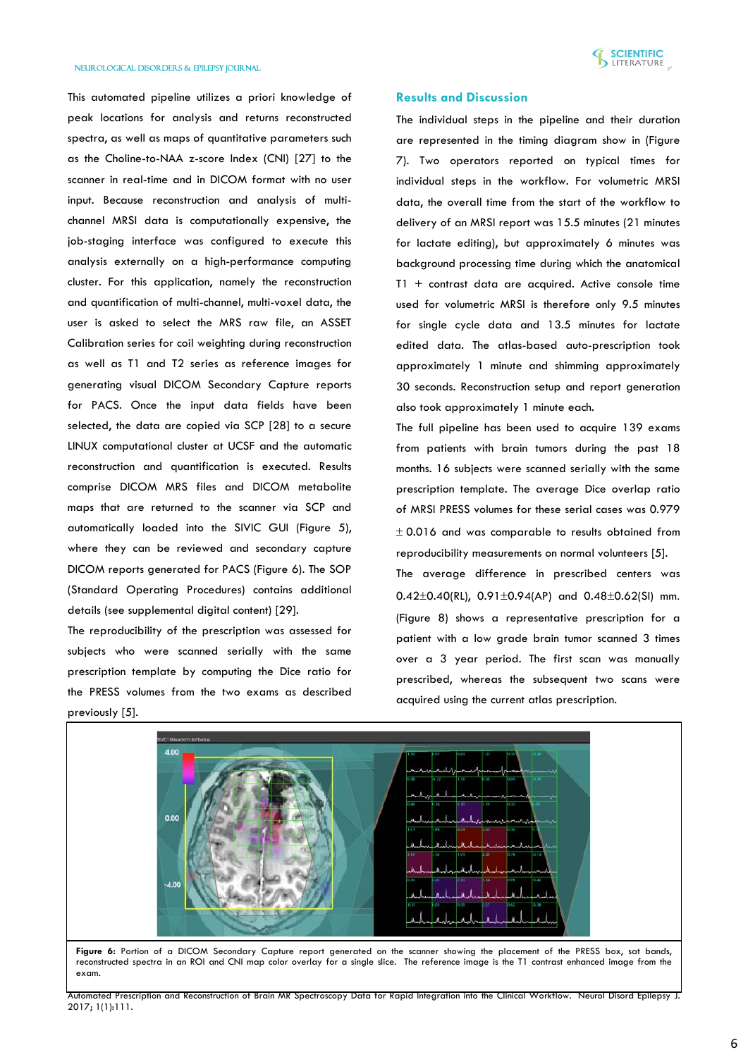

This automated pipeline utilizes a priori knowledge of peak locations for analysis and returns reconstructed spectra, as well as maps of quantitative parameters such as the Choline-to-NAA z-score Index (CNI) [27] to the scanner in real-time and in DICOM format with no user input. Because reconstruction and analysis of multichannel MRSI data is computationally expensive, the job-staging interface was configured to execute this analysis externally on a high-performance computing cluster. For this application, namely the reconstruction and quantification of multi-channel, multi-voxel data, the user is asked to select the MRS raw file, an ASSET Calibration series for coil weighting during reconstruction as well as T1 and T2 series as reference images for generating visual DICOM Secondary Capture reports for PACS. Once the input data fields have been selected, the data are copied via SCP [28] to a secure LINUX computational cluster at UCSF and the automatic reconstruction and quantification is executed. Results comprise DICOM MRS files and DICOM metabolite maps that are returned to the scanner via SCP and automatically loaded into the SIVIC GUI (Figure 5), where they can be reviewed and secondary capture DICOM reports generated for PACS (Figure 6). The SOP (Standard Operating Procedures) contains additional details (see supplemental digital content) [29].

The reproducibility of the prescription was assessed for subjects who were scanned serially with the same prescription template by computing the Dice ratio for the PRESS volumes from the two exams as described previously [5].

## **Results and Discussion**

The individual steps in the pipeline and their duration are represented in the timing diagram show in (Figure 7). Two operators reported on typical times for individual steps in the workflow. For volumetric MRSI data, the overall time from the start of the workflow to delivery of an MRSI report was 15.5 minutes (21 minutes for lactate editing), but approximately 6 minutes was background processing time during which the anatomical T1 + contrast data are acquired. Active console time used for volumetric MRSI is therefore only 9.5 minutes for single cycle data and 13.5 minutes for lactate edited data. The atlas-based auto-prescription took approximately 1 minute and shimming approximately 30 seconds. Reconstruction setup and report generation also took approximately 1 minute each.

The full pipeline has been used to acquire 139 exams from patients with brain tumors during the past 18 months. 16 subjects were scanned serially with the same prescription template. The average Dice overlap ratio of MRSI PRESS volumes for these serial cases was 0.979  $\pm$  0.016 and was comparable to results obtained from reproducibility measurements on normal volunteers [5].

The average difference in prescribed centers was  $0.42\pm0.40$ (RL),  $0.91\pm0.94$ (AP) and  $0.48\pm0.62$ (SI) mm. (Figure 8) shows a representative prescription for a patient with a low grade brain tumor scanned 3 times over a 3 year period. The first scan was manually prescribed, whereas the subsequent two scans were acquired using the current atlas prescription.



Figure 6: Portion of a DICOM Secondary Capture report generated on the scanner showing the placement of the PRESS box, sat bands, reconstructed spectra in an ROI and CNI map color overlay for a single slice. The reference image is the T1 contrast enhanced image from the exam.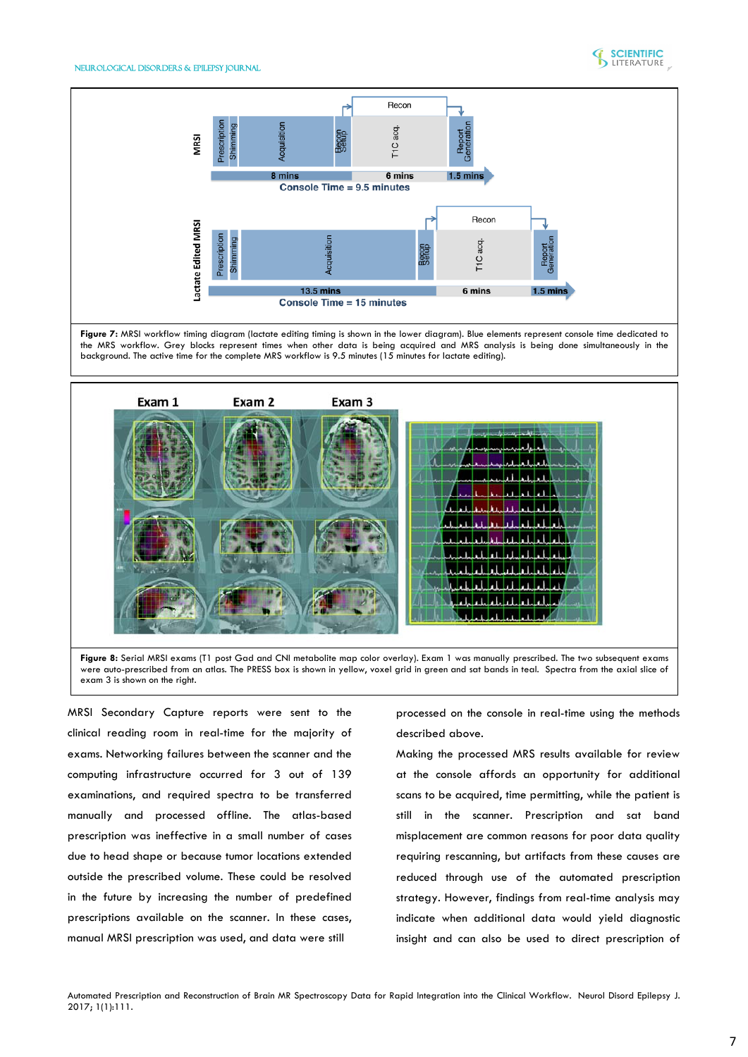



**Figure 7:** MRSI workflow timing diagram (lactate editing timing is shown in the lower diagram). Blue elements represent console time dedicated to the MRS workflow. Grey blocks represent times when other data is being acquired and MRS analysis is being done simultaneously in the background. The active time for the complete MRS workflow is 9.5 minutes (15 minutes for lactate editing).



**Figure 8:** Serial MRSI exams (T1 post Gad and CNI metabolite map color overlay). Exam 1 was manually prescribed. The two subsequent exams were auto-prescribed from an atlas. The PRESS box is shown in yellow, voxel grid in green and sat bands in teal. Spectra from the axial slice of exam 3 is shown on the right.

MRSI Secondary Capture reports were sent to the clinical reading room in real-time for the majority of exams. Networking failures between the scanner and the computing infrastructure occurred for 3 out of 139 examinations, and required spectra to be transferred manually and processed offline. The atlas-based prescription was ineffective in a small number of cases due to head shape or because tumor locations extended outside the prescribed volume. These could be resolved in the future by increasing the number of predefined prescriptions available on the scanner. In these cases, manual MRSI prescription was used, and data were still

processed on the console in real-time using the methods described above.

Making the processed MRS results available for review at the console affords an opportunity for additional scans to be acquired, time permitting, while the patient is still in the scanner. Prescription and sat band misplacement are common reasons for poor data quality requiring rescanning, but artifacts from these causes are reduced through use of the automated prescription strategy. However, findings from real-time analysis may indicate when additional data would yield diagnostic insight and can also be used to direct prescription of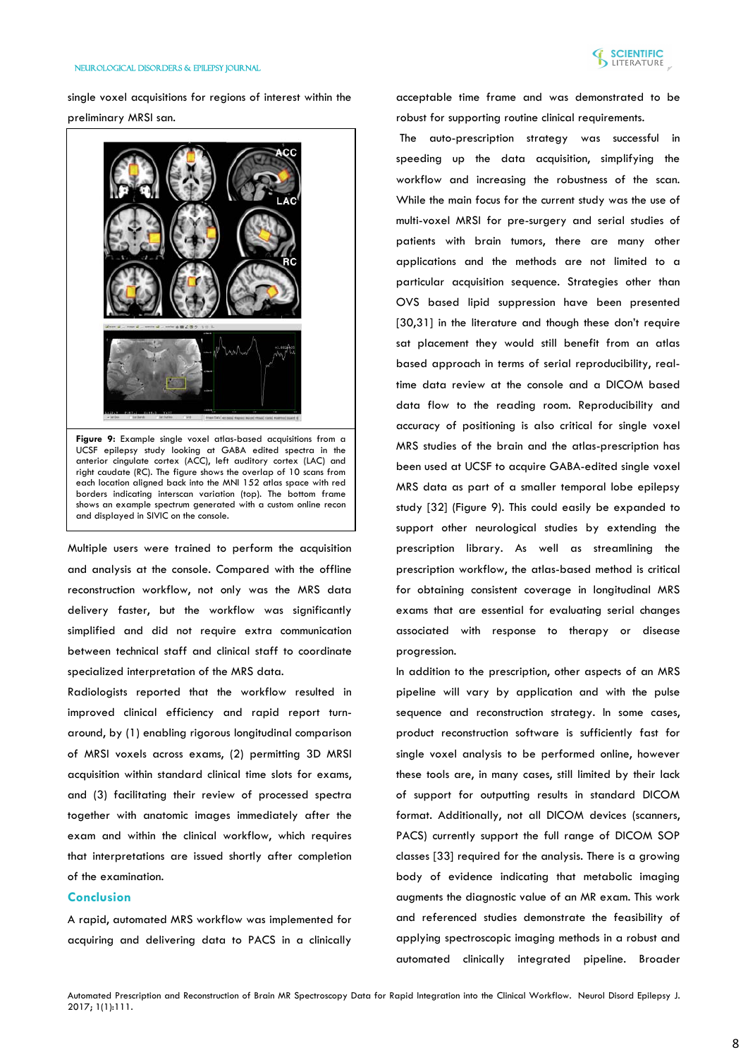

single voxel acquisitions for regions of interest within the preliminary MRSI san.



**Figure 9:** Example single voxel atlas-based acquisitions from a UCSF epilepsy study looking at GABA edited spectra in the anterior cingulate cortex (ACC), left auditory cortex (LAC) and right caudate (RC). The figure shows the overlap of 10 scans from each location aligned back into the MNI 152 atlas space with red borders indicating interscan variation (top). The bottom frame shows an example spectrum generated with a custom online recon and displayed in SIVIC on the console.

Multiple users were trained to perform the acquisition and analysis at the console. Compared with the offline reconstruction workflow, not only was the MRS data delivery faster, but the workflow was significantly simplified and did not require extra communication between technical staff and clinical staff to coordinate specialized interpretation of the MRS data.

Radiologists reported that the workflow resulted in improved clinical efficiency and rapid report turnaround, by (1) enabling rigorous longitudinal comparison of MRSI voxels across exams, (2) permitting 3D MRSI acquisition within standard clinical time slots for exams, and (3) facilitating their review of processed spectra together with anatomic images immediately after the exam and within the clinical workflow, which requires that interpretations are issued shortly after completion of the examination.

## **Conclusion**

A rapid, automated MRS workflow was implemented for acquiring and delivering data to PACS in a clinically acceptable time frame and was demonstrated to be robust for supporting routine clinical requirements.

The auto-prescription strategy was successful in speeding up the data acquisition, simplifying the workflow and increasing the robustness of the scan. While the main focus for the current study was the use of multi-voxel MRSI for pre-surgery and serial studies of patients with brain tumors, there are many other applications and the methods are not limited to a particular acquisition sequence. Strategies other than OVS based lipid suppression have been presented [30,31] in the literature and though these don't require sat placement they would still benefit from an atlas based approach in terms of serial reproducibility, realtime data review at the console and a DICOM based data flow to the reading room. Reproducibility and accuracy of positioning is also critical for single voxel MRS studies of the brain and the atlas-prescription has been used at UCSF to acquire GABA-edited single voxel MRS data as part of a smaller temporal lobe epilepsy study [32] (Figure 9). This could easily be expanded to support other neurological studies by extending the prescription library. As well as streamlining the prescription workflow, the atlas-based method is critical for obtaining consistent coverage in longitudinal MRS exams that are essential for evaluating serial changes associated with response to therapy or disease progression.

In addition to the prescription, other aspects of an MRS pipeline will vary by application and with the pulse sequence and reconstruction strategy. In some cases, product reconstruction software is sufficiently fast for single voxel analysis to be performed online, however these tools are, in many cases, still limited by their lack of support for outputting results in standard DICOM format. Additionally, not all DICOM devices (scanners, PACS) currently support the full range of DICOM SOP classes [33] required for the analysis. There is a growing body of evidence indicating that metabolic imaging augments the diagnostic value of an MR exam. This work and referenced studies demonstrate the feasibility of applying spectroscopic imaging methods in a robust and automated clinically integrated pipeline. Broader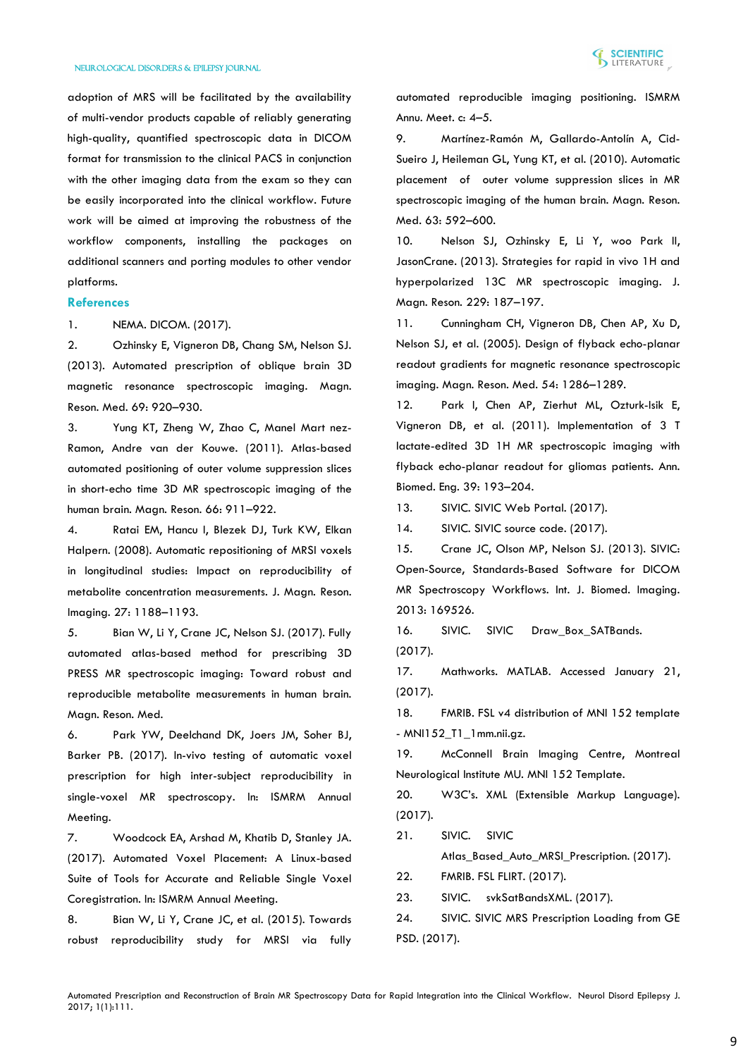

adoption of MRS will be facilitated by the availability of multi-vendor products capable of reliably generating high-quality, quantified spectroscopic data in DICOM format for transmission to the clinical PACS in conjunction with the other imaging data from the exam so they can be easily incorporated into the clinical workflow. Future work will be aimed at improving the robustness of the workflow components, installing the packages on additional scanners and porting modules to other vendor platforms.

## **References**

1. [NEMA. DICOM. \(2017\).](http://dicom.nema.org/)

2. [Ozhinsky E, Vigneron DB, Chang SM, Nelson SJ.](https://www.ncbi.nlm.nih.gov/pubmed/22692829)  [\(2013\). Automated prescription of oblique brain 3D](https://www.ncbi.nlm.nih.gov/pubmed/22692829)  [magnetic resonance spectroscopic imaging. Magn.](https://www.ncbi.nlm.nih.gov/pubmed/22692829)  [Reson. Med. 69: 920–930.](https://www.ncbi.nlm.nih.gov/pubmed/22692829)

3. [Yung KT, Zheng W, Zhao C, Manel Mart nez-](http://onlinelibrary.wiley.com/doi/10.1002/mrm.22887/pdf)[Ramon, Andre van der Kouwe. \(2011\). Atlas-based](http://onlinelibrary.wiley.com/doi/10.1002/mrm.22887/pdf)  [automated positioning of outer volume suppression slices](http://onlinelibrary.wiley.com/doi/10.1002/mrm.22887/pdf)  [in short-echo time 3D MR spectroscopic imaging of the](http://onlinelibrary.wiley.com/doi/10.1002/mrm.22887/pdf)  [human brain. Magn. Reson. 66: 911–922.](http://onlinelibrary.wiley.com/doi/10.1002/mrm.22887/pdf)

4. [Ratai EM, Hancu I, Blezek DJ, Turk KW, Elkan](https://www.ncbi.nlm.nih.gov/pmc/articles/PMC2679165/)  [Halpern. \(2008\). Automatic repositioning of MRSI voxels](https://www.ncbi.nlm.nih.gov/pmc/articles/PMC2679165/)  [in longitudinal studies: Impact on reproducibility of](https://www.ncbi.nlm.nih.gov/pmc/articles/PMC2679165/)  [metabolite concentration measurements. J. Magn. Reson.](https://www.ncbi.nlm.nih.gov/pmc/articles/PMC2679165/)  [Imaging. 27: 1188–1193.](https://www.ncbi.nlm.nih.gov/pmc/articles/PMC2679165/)

5. [Bian W, Li Y, Crane JC, Nelson SJ. \(2017\). Fully](https://www.ncbi.nlm.nih.gov/pubmed/28470861)  [automated atlas-based method for prescribing 3D](https://www.ncbi.nlm.nih.gov/pubmed/28470861)  [PRESS MR spectroscopic imaging: Toward robust and](https://www.ncbi.nlm.nih.gov/pubmed/28470861)  [reproducible metabolite measurements in human brain.](https://www.ncbi.nlm.nih.gov/pubmed/28470861)  [Magn. Reson. Med.](https://www.ncbi.nlm.nih.gov/pubmed/28470861)

6. [Park YW, Deelchand DK, Joers JM, Soher BJ,](http://dev.ismrm.org/2017/3021.html)  [Barker PB. \(2017\). In-vivo testing of automatic voxel](http://dev.ismrm.org/2017/3021.html)  [prescription for high inter-subject reproducibility in](http://dev.ismrm.org/2017/3021.html)  [single-voxel MR spectroscopy. In: ISMRM Annual](http://dev.ismrm.org/2017/3021.html)  [Meeting.](http://dev.ismrm.org/2017/3021.html)

7. [Woodcock EA, Arshad M, Khatib D, Stanley JA.](http://dev.ismrm.org/2017/3022.html)  [\(2017\). Automated Voxel Placement: A Linux-based](http://dev.ismrm.org/2017/3022.html)  [Suite of Tools for Accurate and Reliable Single Voxel](http://dev.ismrm.org/2017/3022.html)  [Coregistration. In: ISMRM Annual Meeting.](http://dev.ismrm.org/2017/3022.html)

8. [Bian W, Li Y, Crane JC, et al. \(2015\). Towards](http://dev.ismrm.org/2015/0985.html)  [robust reproducibility study for MRSI via fully](http://dev.ismrm.org/2015/0985.html) 

[automated reproducible imaging positioning. ISMRM](http://dev.ismrm.org/2015/0985.html)  [Annu. Meet. c: 4–5.](http://dev.ismrm.org/2015/0985.html)

9. [Martínez-Ramón M, Gallardo-Antolín A, Cid-](https://www.ncbi.nlm.nih.gov/pubmed/20187173)[Sueiro J, Heileman GL, Yung KT, et al. \(2010\). Automatic](https://www.ncbi.nlm.nih.gov/pubmed/20187173)  [placement of outer volume suppression slices in MR](https://www.ncbi.nlm.nih.gov/pubmed/20187173)  [spectroscopic imaging of the human brain. Magn. Reson.](https://www.ncbi.nlm.nih.gov/pubmed/20187173)  [Med. 63: 592–600.](https://www.ncbi.nlm.nih.gov/pubmed/20187173)

10. [Nelson SJ, Ozhinsky E, Li Y, woo Park II,](http://www.sciencedirect.com/science/article/pii/S1090780713000335?via%3Dihub)  [JasonCrane. \(2013\). Strategies for rapid in vivo 1H and](http://www.sciencedirect.com/science/article/pii/S1090780713000335?via%3Dihub)  [hyperpolarized 13C MR spectroscopic imaging. J.](http://www.sciencedirect.com/science/article/pii/S1090780713000335?via%3Dihub)  [Magn. Reson. 229: 187–197.](http://www.sciencedirect.com/science/article/pii/S1090780713000335?via%3Dihub)

11. [Cunningham CH, Vigneron DB, Chen AP, Xu D,](https://www.ncbi.nlm.nih.gov/pubmed/16187273)  [Nelson SJ, et al. \(2005\). Design of flyback echo-planar](https://www.ncbi.nlm.nih.gov/pubmed/16187273)  [readout gradients for magnetic resonance spectroscopic](https://www.ncbi.nlm.nih.gov/pubmed/16187273)  [imaging. Magn. Reson. Med. 54: 1286–1289.](https://www.ncbi.nlm.nih.gov/pubmed/16187273)

12. [Park I, Chen AP, Zierhut ML, Ozturk-Isik E,](https://www.ncbi.nlm.nih.gov/pmc/articles/PMC3010202/)  [Vigneron DB, et al. \(2011\). Implementation of 3 T](https://www.ncbi.nlm.nih.gov/pmc/articles/PMC3010202/)  [lactate-edited 3D 1H MR spectroscopic imaging with](https://www.ncbi.nlm.nih.gov/pmc/articles/PMC3010202/)  [flyback echo-planar readout for gliomas patients. Ann.](https://www.ncbi.nlm.nih.gov/pmc/articles/PMC3010202/)  [Biomed. Eng. 39: 193–204.](https://www.ncbi.nlm.nih.gov/pmc/articles/PMC3010202/)

13. [SIVIC. SIVIC Web Portal. \(2017\).](https://sourceforge.net/projects/sivic/)

14. [SIVIC. SIVIC source code. \(2017\).](https://github.com/SIVICLab/sivic)

15. [Crane JC, Olson MP, Nelson SJ. \(2013\). SIVIC:](https://www.ncbi.nlm.nih.gov/pmc/articles/PMC3732592/?tool=pmcentrez&report=)  [Open-Source, Standards-Based Software for DICOM](https://www.ncbi.nlm.nih.gov/pmc/articles/PMC3732592/?tool=pmcentrez&report=)  [MR Spectroscopy Workflows. Int. J. Biomed. Imaging.](https://www.ncbi.nlm.nih.gov/pmc/articles/PMC3732592/?tool=pmcentrez&report=)  [2013: 169526.](https://www.ncbi.nlm.nih.gov/pmc/articles/PMC3732592/?tool=pmcentrez&report=)

16. SIVIC. SIVIC Draw Box SATBands. [\(2017\).](https://github.com/SIVICLab/sivic/tree/master/applications/auto_sats/atlas_prescription/draw_box_sats)

17. [Mathworks. MATLAB. Accessed January 21,](https://www.mathworks.com/)  [\(2017\).](https://www.mathworks.com/)

18. [FMRIB. FSL v4 distribution of MNI 152 template](https://fsl.fmrib.ox.ac.uk/fsl/fslwiki/Atlases)  - [MNI152\\_T1\\_1mm.nii.gz.](https://fsl.fmrib.ox.ac.uk/fsl/fslwiki/Atlases)

19. [McConnell Brain Imaging Centre, Montreal](http://nist.mni.mcgill.ca/?p=858.)  [Neurological Institute MU. MNI 152 Template.](http://nist.mni.mcgill.ca/?p=858.)

20. [W3C's. XML \(Extensible Markup Language\).](https://www.w3.org/XML/)  [\(2017\).](https://www.w3.org/XML/)

21. [SIVIC.](https://github.com/SIVICLab/sivic/tree/master/applications/auto_sats/atlas_prescription) SIVIC

[Atlas\\_Based\\_Auto\\_MRSI\\_Prescription. \(2017\).](https://github.com/SIVICLab/sivic/tree/master/applications/auto_sats/atlas_prescription)

22. [FMRIB. FSL FLIRT. \(2017\).](https://fsl.fmrib.ox.ac.uk/fsl/fslwiki/FLIRT)

23. SIVIC. [svkSatBandsXML. \(2017\).](http://sivic.sourceforge.net/libsvk/html/classsvk_1_1svkSatBandsXML.html)

24. [SIVIC. SIVIC MRS Prescription Loading from GE](https://sourceforge.net/p/sivic/sivicwiki/Tutorials/attachment/SIVIC_GE_PSD_SDC2.pdf)  [PSD. \(2017\).](https://sourceforge.net/p/sivic/sivicwiki/Tutorials/attachment/SIVIC_GE_PSD_SDC2.pdf)